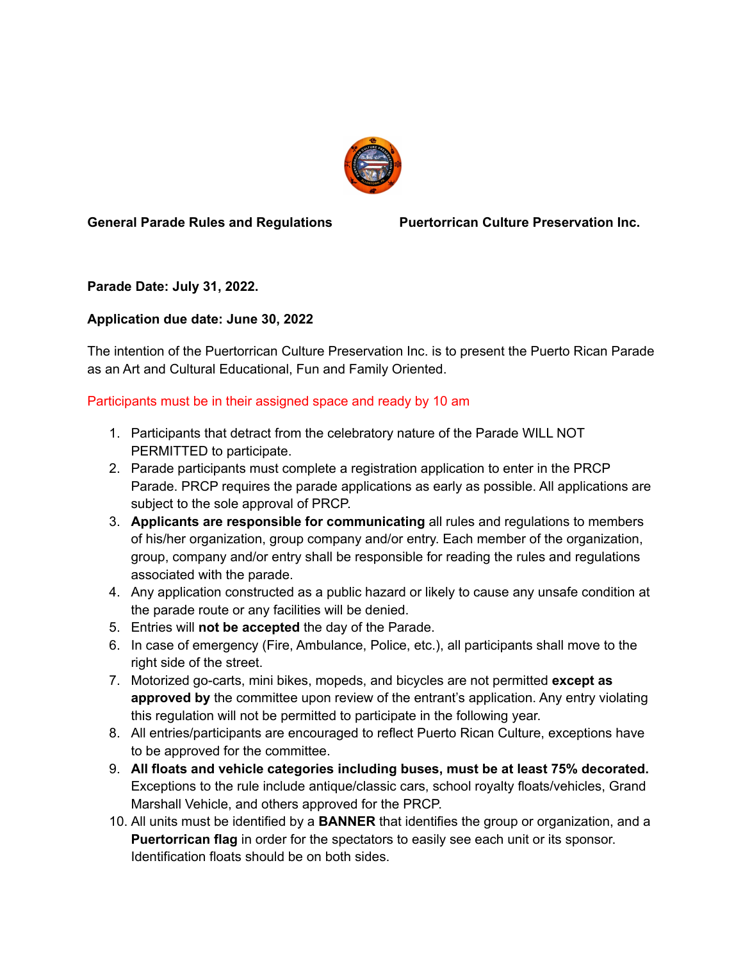

#### **General Parade Rules and Regulations Puertorrican Culture Preservation Inc.**

**Parade Date: July 31, 2022.**

# **Application due date: June 30, 2022**

The intention of the Puertorrican Culture Preservation Inc. is to present the Puerto Rican Parade as an Art and Cultural Educational, Fun and Family Oriented.

### Participants must be in their assigned space and ready by 10 am

- 1. Participants that detract from the celebratory nature of the Parade WILL NOT PERMITTED to participate.
- 2. Parade participants must complete a registration application to enter in the PRCP Parade. PRCP requires the parade applications as early as possible. All applications are subject to the sole approval of PRCP.
- 3. **Applicants are responsible for communicating** all rules and regulations to members of his/her organization, group company and/or entry. Each member of the organization, group, company and/or entry shall be responsible for reading the rules and regulations associated with the parade.
- 4. Any application constructed as a public hazard or likely to cause any unsafe condition at the parade route or any facilities will be denied.
- 5. Entries will **not be accepted** the day of the Parade.
- 6. In case of emergency (Fire, Ambulance, Police, etc.), all participants shall move to the right side of the street.
- 7. Motorized go-carts, mini bikes, mopeds, and bicycles are not permitted **except as approved by** the committee upon review of the entrant's application. Any entry violating this regulation will not be permitted to participate in the following year.
- 8. All entries/participants are encouraged to reflect Puerto Rican Culture, exceptions have to be approved for the committee.
- 9. **All floats and vehicle categories including buses, must be at least 75% decorated.** Exceptions to the rule include antique/classic cars, school royalty floats/vehicles, Grand Marshall Vehicle, and others approved for the PRCP.
- 10. All units must be identified by a **BANNER** that identifies the group or organization, and a **Puertorrican flag** in order for the spectators to easily see each unit or its sponsor. Identification floats should be on both sides.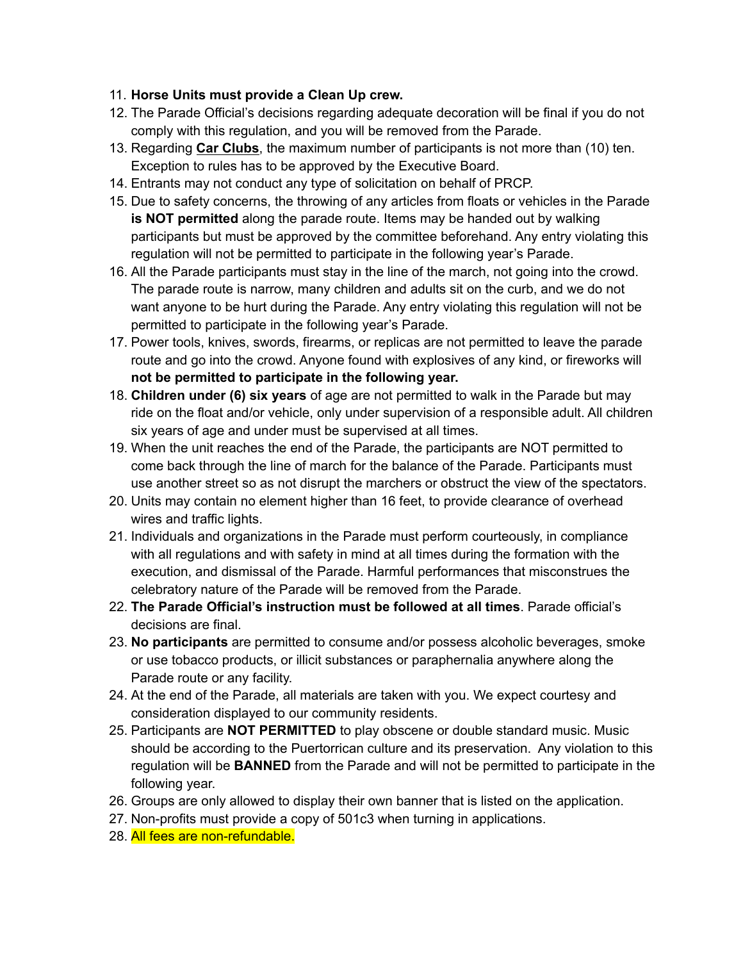### 11. **Horse Units must provide a Clean Up crew.**

- 12. The Parade Official's decisions regarding adequate decoration will be final if you do not comply with this regulation, and you will be removed from the Parade.
- 13. Regarding **Car Clubs**, the maximum number of participants is not more than (10) ten. Exception to rules has to be approved by the Executive Board.
- 14. Entrants may not conduct any type of solicitation on behalf of PRCP.
- 15. Due to safety concerns, the throwing of any articles from floats or vehicles in the Parade **is NOT permitted** along the parade route. Items may be handed out by walking participants but must be approved by the committee beforehand. Any entry violating this regulation will not be permitted to participate in the following year's Parade.
- 16. All the Parade participants must stay in the line of the march, not going into the crowd. The parade route is narrow, many children and adults sit on the curb, and we do not want anyone to be hurt during the Parade. Any entry violating this regulation will not be permitted to participate in the following year's Parade.
- 17. Power tools, knives, swords, firearms, or replicas are not permitted to leave the parade route and go into the crowd. Anyone found with explosives of any kind, or fireworks will **not be permitted to participate in the following year.**
- 18. **Children under (6) six years** of age are not permitted to walk in the Parade but may ride on the float and/or vehicle, only under supervision of a responsible adult. All children six years of age and under must be supervised at all times.
- 19. When the unit reaches the end of the Parade, the participants are NOT permitted to come back through the line of march for the balance of the Parade. Participants must use another street so as not disrupt the marchers or obstruct the view of the spectators.
- 20. Units may contain no element higher than 16 feet, to provide clearance of overhead wires and traffic lights.
- 21. Individuals and organizations in the Parade must perform courteously, in compliance with all regulations and with safety in mind at all times during the formation with the execution, and dismissal of the Parade. Harmful performances that misconstrues the celebratory nature of the Parade will be removed from the Parade.
- 22. **The Parade Official's instruction must be followed at all times**. Parade official's decisions are final.
- 23. **No participants** are permitted to consume and/or possess alcoholic beverages, smoke or use tobacco products, or illicit substances or paraphernalia anywhere along the Parade route or any facility.
- 24. At the end of the Parade, all materials are taken with you. We expect courtesy and consideration displayed to our community residents.
- 25. Participants are **NOT PERMITTED** to play obscene or double standard music. Music should be according to the Puertorrican culture and its preservation. Any violation to this regulation will be **BANNED** from the Parade and will not be permitted to participate in the following year.
- 26. Groups are only allowed to display their own banner that is listed on the application.
- 27. Non-profits must provide a copy of 501c3 when turning in applications.
- 28. All fees are non-refundable.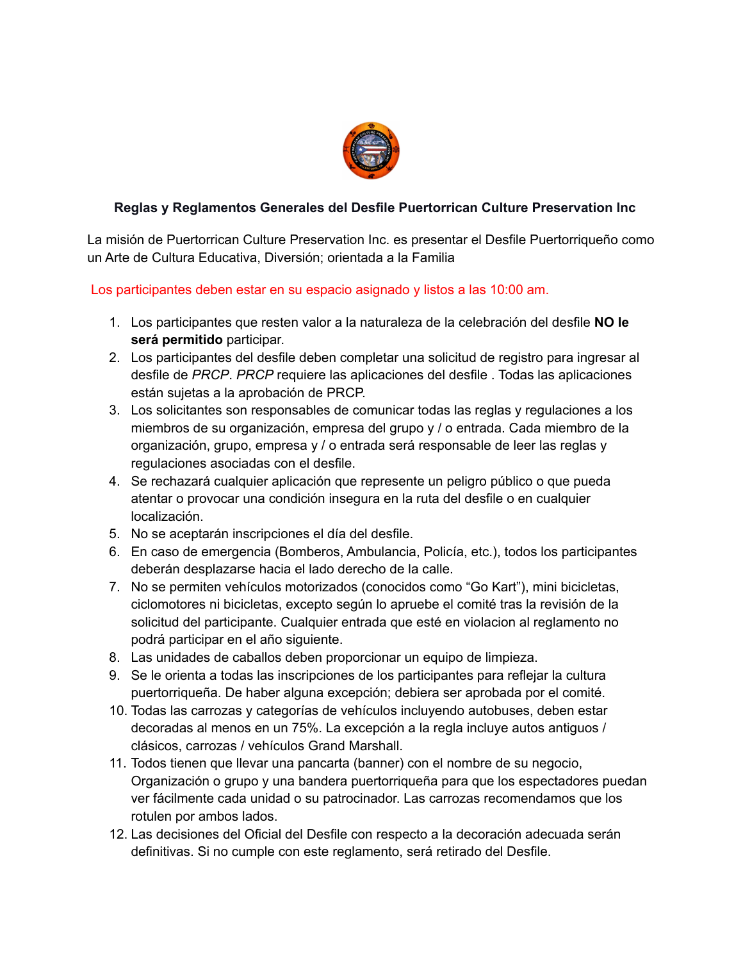

## **Reglas y Reglamentos Generales del Desfile Puertorrican Culture Preservation Inc**

La misión de Puertorrican Culture Preservation Inc. es presentar el Desfile Puertorriqueño como un Arte de Cultura Educativa, Diversión; orientada a la Familia

Los participantes deben estar en su espacio asignado y listos a las 10:00 am.

- 1. Los participantes que resten valor a la naturaleza de la celebración del desfile **NO le será permitido** participar.
- 2. Los participantes del desfile deben completar una solicitud de registro para ingresar al desfile de *PRCP*. *PRCP* requiere las aplicaciones del desfile . Todas las aplicaciones están sujetas a la aprobación de PRCP.
- 3. Los solicitantes son responsables de comunicar todas las reglas y regulaciones a los miembros de su organización, empresa del grupo y / o entrada. Cada miembro de la organización, grupo, empresa y / o entrada será responsable de leer las reglas y regulaciones asociadas con el desfile.
- 4. Se rechazará cualquier aplicación que represente un peligro público o que pueda atentar o provocar una condición insegura en la ruta del desfile o en cualquier localización.
- 5. No se aceptarán inscripciones el día del desfile.
- 6. En caso de emergencia (Bomberos, Ambulancia, Policía, etc.), todos los participantes deberán desplazarse hacia el lado derecho de la calle.
- 7. No se permiten vehículos motorizados (conocidos como "Go Kart"), mini bicicletas, ciclomotores ni bicicletas, excepto según lo apruebe el comité tras la revisión de la solicitud del participante. Cualquier entrada que esté en violacion al reglamento no podrá participar en el año siguiente.
- 8. Las unidades de caballos deben proporcionar un equipo de limpieza.
- 9. Se le orienta a todas las inscripciones de los participantes para reflejar la cultura puertorriqueña. De haber alguna excepción; debiera ser aprobada por el comité.
- 10. Todas las carrozas y categorías de vehículos incluyendo autobuses, deben estar decoradas al menos en un 75%. La excepción a la regla incluye autos antiguos / clásicos, carrozas / vehículos Grand Marshall.
- 11. Todos tienen que llevar una pancarta (banner) con el nombre de su negocio, Organización o grupo y una bandera puertorriqueña para que los espectadores puedan ver fácilmente cada unidad o su patrocinador. Las carrozas recomendamos que los rotulen por ambos lados.
- 12. Las decisiones del Oficial del Desfile con respecto a la decoración adecuada serán definitivas. Si no cumple con este reglamento, será retirado del Desfile.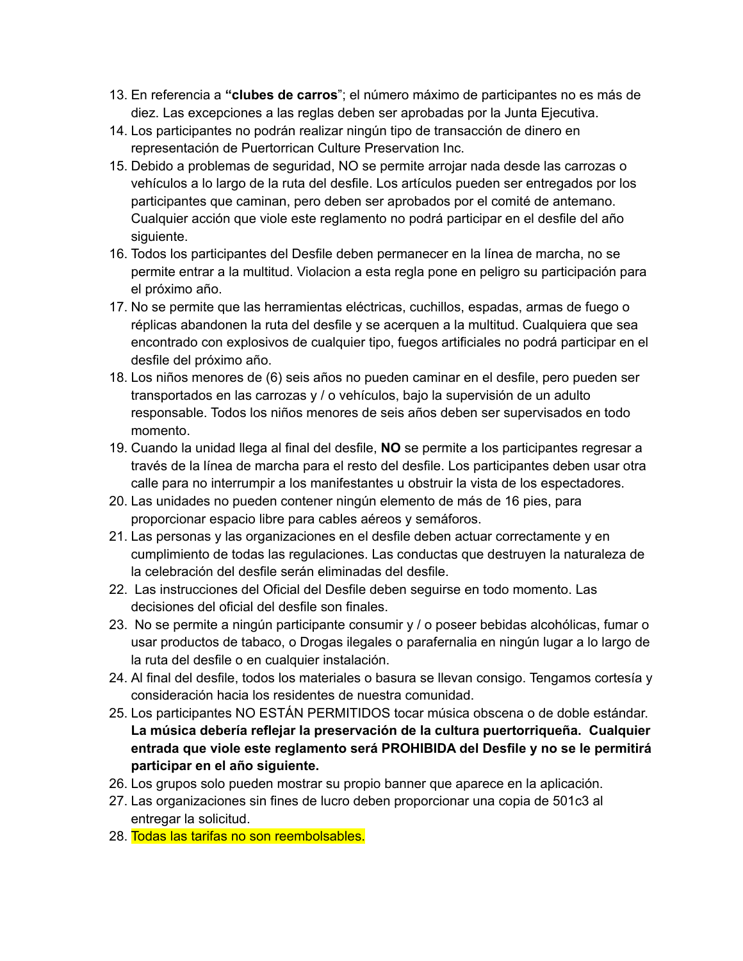- 13. En referencia a **"clubes de carros**"; el número máximo de participantes no es más de diez. Las excepciones a las reglas deben ser aprobadas por la Junta Ejecutiva.
- 14. Los participantes no podrán realizar ningún tipo de transacción de dinero en representación de Puertorrican Culture Preservation Inc.
- 15. Debido a problemas de seguridad, NO se permite arrojar nada desde las carrozas o vehículos a lo largo de la ruta del desfile. Los artículos pueden ser entregados por los participantes que caminan, pero deben ser aprobados por el comité de antemano. Cualquier acción que viole este reglamento no podrá participar en el desfile del año siguiente.
- 16. Todos los participantes del Desfile deben permanecer en la línea de marcha, no se permite entrar a la multitud. Violacion a esta regla pone en peligro su participación para el próximo año.
- 17. No se permite que las herramientas eléctricas, cuchillos, espadas, armas de fuego o réplicas abandonen la ruta del desfile y se acerquen a la multitud. Cualquiera que sea encontrado con explosivos de cualquier tipo, fuegos artificiales no podrá participar en el desfile del próximo año.
- 18. Los niños menores de (6) seis años no pueden caminar en el desfile, pero pueden ser transportados en las carrozas y / o vehículos, bajo la supervisión de un adulto responsable. Todos los niños menores de seis años deben ser supervisados en todo momento.
- 19. Cuando la unidad llega al final del desfile, **NO** se permite a los participantes regresar a través de la línea de marcha para el resto del desfile. Los participantes deben usar otra calle para no interrumpir a los manifestantes u obstruir la vista de los espectadores.
- 20. Las unidades no pueden contener ningún elemento de más de 16 pies, para proporcionar espacio libre para cables aéreos y semáforos.
- 21. Las personas y las organizaciones en el desfile deben actuar correctamente y en cumplimiento de todas las regulaciones. Las conductas que destruyen la naturaleza de la celebración del desfile serán eliminadas del desfile.
- 22. Las instrucciones del Oficial del Desfile deben seguirse en todo momento. Las decisiones del oficial del desfile son finales.
- 23. No se permite a ningún participante consumir y / o poseer bebidas alcohólicas, fumar o usar productos de tabaco, o Drogas ilegales o parafernalia en ningún lugar a lo largo de la ruta del desfile o en cualquier instalación.
- 24. Al final del desfile, todos los materiales o basura se llevan consigo. Tengamos cortesía y consideración hacia los residentes de nuestra comunidad.
- 25. Los participantes NO ESTÁN PERMITIDOS tocar música obscena o de doble estándar. **La música debería reflejar la preservación de la cultura puertorriqueña. Cualquier entrada que viole este reglamento será PROHIBIDA del Desfile y no se le permitirá participar en el año siguiente.**
- 26. Los grupos solo pueden mostrar su propio banner que aparece en la aplicación.
- 27. Las organizaciones sin fines de lucro deben proporcionar una copia de 501c3 al entregar la solicitud.
- 28. Todas las tarifas no son reembolsables.